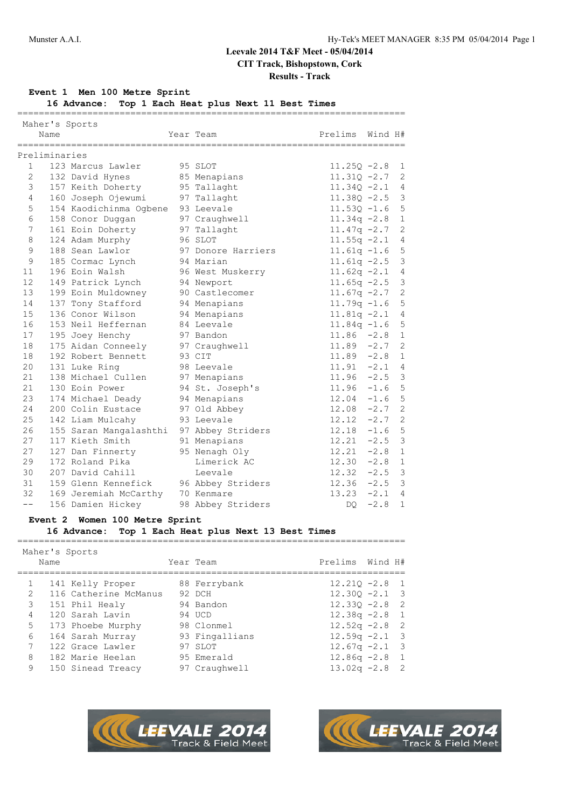# **Results - Track**

### **Event 1 Men 100 Metre Sprint**

**16 Advance: Top 1 Each Heat plus Next 11 Best Times**

|                | Maher's Sports |                                   |                    |                |         |                |
|----------------|----------------|-----------------------------------|--------------------|----------------|---------|----------------|
|                | Name           |                                   | Year Team          | Prelims        | Wind H# |                |
|                | :============= | -----------------                 |                    | -------------  |         |                |
|                | Preliminaries  |                                   |                    |                |         |                |
| 1              |                | 123 Marcus Lawler                 | 95 SLOT            | $11.25Q - 2.8$ |         | $\mathbf{1}$   |
| $\overline{2}$ |                | 132 David Hynes                   | 85 Menapians       | $11.31Q - 2.7$ |         | 2              |
| 3              |                | 157 Keith Doherty                 | 95 Tallaght        | $11.340 - 2.1$ |         | 4              |
| 4              |                | 160 Joseph Ojewumi                | 97 Tallaght        | $11.38Q - 2.5$ |         | 3              |
| 5              |                | 154 Kaodichinma Ogbene 93 Leevale |                    | $11.53Q - 1.6$ |         | 5              |
| 6              |                | 158 Conor Duggan                  | 97 Craughwell      | $11.34q - 2.8$ |         | $\mathbf{1}$   |
| 7              |                | 161 Eoin Doherty                  | 97 Tallaght        | $11.47q -2.7$  |         | $\overline{2}$ |
| 8              |                | 124 Adam Murphy                   | 96 SLOT            | $11.55q -2.1$  |         | 4              |
| 9              |                | 188 Sean Lawlor                   | 97 Donore Harriers | $11.61q - 1.6$ |         | 5              |
| 9              |                | 185 Cormac Lynch                  | 94 Marian          | $11.61q - 2.5$ |         | 3              |
| 11             |                | 196 Eoin Walsh                    | 96 West Muskerry   | $11.62q -2.1$  |         | 4              |
| 12             |                | 149 Patrick Lynch                 | 94 Newport         | $11.65q -2.5$  |         | 3              |
| 13             |                | 199 Eoin Muldowney                | 90 Castlecomer     | $11.67q -2.7$  |         | $\overline{2}$ |
| 14             |                | 137 Tony Stafford                 | 94 Menapians       | $11.79q - 1.6$ |         | 5              |
| 15             |                | 136 Conor Wilson                  | 94 Menapians       | $11.81q - 2.1$ |         | $\overline{4}$ |
| 16             |                | 153 Neil Heffernan                | 84 Leevale         | $11.84q - 1.6$ |         | 5              |
| 17             |                | 195 Joey Henchy                   | 97 Bandon          | $11.86 - 2.8$  |         | $\mathbf{1}$   |
| 18             |                | 175 Aidan Conneely                | 97 Craughwell      | $11.89 - 2.7$  |         | $\overline{2}$ |
| 18             |                | 192 Robert Bennett                | 93 CIT             | $11.89 - 2.8$  |         | $\mathbf{1}$   |
| 20             |                | 131 Luke Ring                     | 98 Leevale         | $11.91 - 2.1$  |         | $\overline{4}$ |
| 21             |                | 138 Michael Cullen                | 97 Menapians       | $11.96 - 2.5$  |         | 3              |
| 21             |                | 130 Eoin Power                    | 94 St. Joseph's    | $11.96 -1.6$   |         | 5              |
| 23             |                | 174 Michael Deady                 | 94 Menapians       | $12.04 -1.6$   |         | 5              |
| 24             |                | 200 Colin Eustace                 | 97 Old Abbey       | 12.08          | $-2.7$  | $\overline{2}$ |
| 25             |                | 142 Liam Mulcahy                  | 93 Leevale         | $12.12 - 2.7$  |         | $\mathbf{2}$   |
| 26             |                | 155 Saran Mangalashthi            | 97 Abbey Striders  | $12.18 - 1.6$  |         | 5              |
| 27             |                | 117 Kieth Smith                   | 91 Menapians       | 12.21          | $-2.5$  | 3              |
| 27             |                | 127 Dan Finnerty                  | 95 Nenagh Oly      | $12.21 -2.8$   |         | $\mathbf{1}$   |
| 29             |                | 172 Roland Pika                   | Limerick AC        | $12.30 -2.8$   |         | $\mathbf{1}$   |
| 30             |                | 207 David Cahill                  | Leevale            | $12.32 - 2.5$  |         | 3              |
| 31             |                | 159 Glenn Kennefick               | 96 Abbey Striders  | $12.36 -2.5$   |         | $\mathfrak{Z}$ |
| 32             |                | 169 Jeremiah McCarthy             | 70 Kenmare         | $13.23 -2.1$   |         | $\overline{4}$ |
| $- -$          |                | 156 Damien Hickey                 | 98 Abbey Striders  | DO             | $-2.8$  | $\mathbf{1}$   |

### **Event 2 Women 100 Metre Sprint**

### **16 Advance: Top 1 Each Heat plus Next 13 Best Times**

========================================================================

| Maher's Sports    |      |                       |                                                                                                                                      |                                                                                                                                                                                                    |
|-------------------|------|-----------------------|--------------------------------------------------------------------------------------------------------------------------------------|----------------------------------------------------------------------------------------------------------------------------------------------------------------------------------------------------|
|                   |      |                       |                                                                                                                                      |                                                                                                                                                                                                    |
| 141 Kelly Proper  |      |                       |                                                                                                                                      |                                                                                                                                                                                                    |
|                   |      |                       |                                                                                                                                      |                                                                                                                                                                                                    |
| 151 Phil Healy    |      |                       |                                                                                                                                      |                                                                                                                                                                                                    |
| 120 Sarah Lavin   |      |                       |                                                                                                                                      |                                                                                                                                                                                                    |
| 173 Phoebe Murphy |      |                       |                                                                                                                                      |                                                                                                                                                                                                    |
| 164 Sarah Murray  |      |                       |                                                                                                                                      |                                                                                                                                                                                                    |
| 122 Grace Lawler  |      |                       |                                                                                                                                      |                                                                                                                                                                                                    |
| 182 Marie Heelan  |      |                       |                                                                                                                                      |                                                                                                                                                                                                    |
| 150 Sinead Treacy |      |                       |                                                                                                                                      |                                                                                                                                                                                                    |
|                   | Name | 116 Catherine McManus | Year Team<br>88 Ferrybank<br>92 DCH<br>94 Bandon<br>94 UCD<br>98 Clonmel<br>93 Fingallians<br>97 SLOT<br>95 Emerald<br>97 Craughwell | Prelims Wind H#<br>$12.210 - 2.8$ 1<br>$12.300 - 2.1$ 3<br>$12.330 - 2.8$ 2<br>$12.38q - 2.8$ 1<br>$12.52q - 2.8$ 2<br>$12.59q - 2.1$ 3<br>$12.67q - 2.1$ 3<br>$12.86q - 2.8$ 1<br>$13.02q -2.8$ 2 |



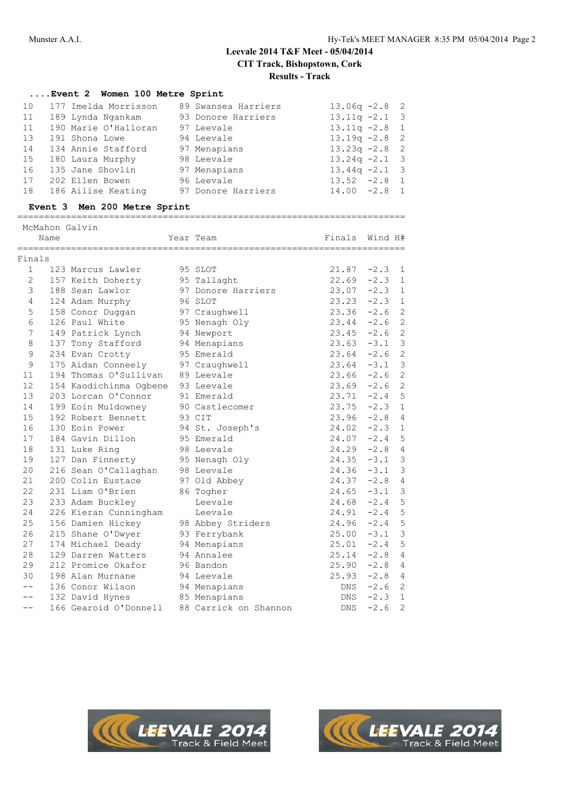## **Results - Track**

### **....Event 2 Women 100 Metre Sprint**

| 10 | 177 Imelda Morrisson | 89 Swansea Harriers | $13.06q -2.8$ 2  |
|----|----------------------|---------------------|------------------|
| 11 | 189 Lynda Ngankam    | 93 Donore Harriers  | $13.11q - 2.1$ 3 |
| 11 | 190 Marie O'Halloran | 97 Leevale          | $13.11q - 2.8$ 1 |
| 13 | 191 Shona Lowe       | 94 Leevale          | $13.19q - 2.8$ 2 |
| 14 | 134 Annie Stafford   | 97 Menapians        | $13.23q -2.8$ 2  |
| 15 | 180 Laura Murphy     | 98 Leevale          | $13.24q -2.1$ 3  |
| 16 | 135 Jane Shovlin     | 97 Menapians        | $13.44q -2.1$ 3  |
| 17 | 202 Ellen Bowen      | 96 Leevale          | $13.52 -2.8$ 1   |
| 18 | 186 Ailise Keating   | 97 Donore Harriers  | $14.00 -2.8 1$   |

### **Event 3 Men 200 Metre Sprint**

========================================================================

|                  | McMahon Galvin<br>Name<br>============ |                                  | Year Team             | Finals     | Wind H#       |                |
|------------------|----------------------------------------|----------------------------------|-----------------------|------------|---------------|----------------|
| Finals           |                                        |                                  |                       |            |               |                |
| $\mathbf{1}$     |                                        | 123 Marcus Lawler                | 95 SLOT               | 21.87      | $-2.3$        | 1              |
| $\overline{2}$   |                                        | 157 Keith Doherty                | 95 Tallaght           | 22.69      | $-2.3$        | $\mathbf{1}$   |
| 3                |                                        | 188 Sean Lawlor                  | 97 Donore Harriers    | 23.07      | $-2.3$        | $\mathbf{1}$   |
| 4                |                                        | 124 Adam Murphy                  | 96 SLOT               | 23.23      | $-2.3$        | $\mathbf{1}$   |
| 5                |                                        | 158 Conor Duggan                 | 97 Craughwell         | 23.36      | $-2.6$        | $\overline{2}$ |
| 6                |                                        | 126 Paul White                   | 95 Nenagh Oly         | 23.44      | $-2.6$        | $\overline{c}$ |
| $\boldsymbol{7}$ |                                        | 149 Patrick Lynch                | 94 Newport            | 23.45      | $-2.6$        | $\overline{c}$ |
| 8                |                                        | 137 Tony Stafford                | 94 Menapians          | 23.63      | $-3.1$        | $\mathfrak{Z}$ |
| 9                |                                        | 234 Evan Crotty                  | 95 Emerald            | 23.64      | $-2.6$        | $\overline{c}$ |
| 9                |                                        | 175 Aidan Conneely               | 97 Craughwell         | 23.64      | $-3.1$        | $\mathfrak{Z}$ |
| 11               |                                        | 194 Thomas O'Sullivan 89 Leevale |                       | 23.66      | $-2.6$        | $\sqrt{2}$     |
| 12               |                                        | 154 Kaodichinma Ogbene           | 93 Leevale            | 23.69      | $-2.6$        | $\overline{c}$ |
| 13               |                                        | 203 Lorcan O'Connor              | 91 Emerald            | 23.71      | $-2.4$        | 5              |
| 14               |                                        | 199 Eoin Muldowney               | 90 Castlecomer        | 23.75      | $-2.3$        | $\mathbf{1}$   |
| 15               |                                        | 192 Robert Bennett               | 93 CIT                | 23.96      | $-2.8$        | $\overline{4}$ |
| 16               |                                        | 130 Eoin Power                   | 94 St. Joseph's       | 24.02      | $-2.3$        | $\mathbf{1}$   |
| 17               |                                        | 184 Gavin Dillon                 | 95 Emerald            | 24.07      | $-2.4$        | $\overline{5}$ |
| 18               |                                        | 131 Luke Ring                    | 98 Leevale            | 24.29      | $-2.8$        | $\overline{4}$ |
| 19               |                                        | 127 Dan Finnerty 95 Nenagh Oly   |                       |            | $24.35 - 3.1$ | $\mathcal{S}$  |
| 20               |                                        | 216 Sean O'Callaghan 98 Leevale  |                       | 24.36      | $-3.1$        | $\mathfrak{Z}$ |
| 21               |                                        | 200 Colin Eustace                | 97 Old Abbey          |            | $24.37 -2.8$  | $\overline{4}$ |
| 22               |                                        | 231 Liam O'Brien                 | 86 Togher             | 24.65      | $-3.1$        | $\mathfrak{Z}$ |
| 23               |                                        | 233 Adam Buckley                 | Leevale               | 24.68      | $-2.4$        | $\overline{5}$ |
| 24               |                                        | 226 Kieran Cunningham            | Leevale               | 24.91      | $-2.4$        | 5              |
| 25               |                                        | 156 Damien Hickey                | 98 Abbey Striders     | 24.96      | $-2.4$        | $\overline{5}$ |
| 26               |                                        | 215 Shane O'Dwyer                | 93 Ferrybank          | 25.00      | $-3.1$        | $\mathsf 3$    |
| 27               |                                        | 174 Michael Deady                | 94 Menapians          | 25.01      | $-2.4$        | $\overline{5}$ |
| 28               |                                        | 129 Darren Watters               | 94 Annalee            | 25.14      | $-2.8$        | $\overline{4}$ |
| 29               |                                        | 212 Promice Okafor               | 96 Bandon             | 25.90      | $-2.8$        | 4              |
| 30               |                                        | 198 Alan Murnane                 | 94 Leevale            | 25.93      | $-2.8$ 4      |                |
| $-$              |                                        | 136 Conor Wilson                 | 94 Menapians          | DNS        | $-2.6$        | 2              |
|                  |                                        | 132 David Hynes 85 Menapians     |                       | DNS        | $-2.3$        | $\mathbf{1}$   |
| $- -$            |                                        | 166 Gearoid O'Donnell            | 88 Carrick on Shannon | <b>DNS</b> | $-2.6$        | 2              |



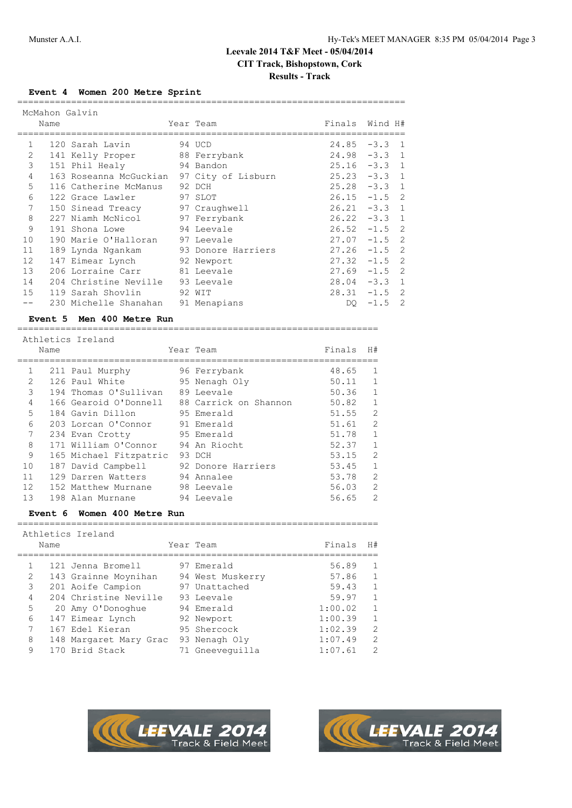## **Results - Track**

## **Event 4 Women 200 Metre Sprint**

|                |      | McMahon Galvin                            |           |                 |             |  |
|----------------|------|-------------------------------------------|-----------|-----------------|-------------|--|
|                | Name |                                           | Year Team | Finals Wind H#  |             |  |
|                |      |                                           |           |                 |             |  |
| 1              |      | 120 Sarah Lavin                           | 94 UCD    | $24.85 - 3.3 1$ |             |  |
| $\mathfrak{L}$ |      | 141 Kelly Proper 88 Ferrybank             |           | $24.98 - 3.3 1$ |             |  |
| 3              |      | 151 Phil Healy 94 Bandon                  |           | $25.16 - 3.3 1$ |             |  |
| 4              |      | 163 Roseanna McGuckian 97 City of Lisburn |           | $25.23 -3.3$ 1  |             |  |
| 5              |      | 116 Catherine McManus                     | 92 DCH    | $25.28 - 3.3 1$ |             |  |
| 6              |      | 97 SLOT<br>122 Grace Lawler               |           | $26.15 - 1.5$ 2 |             |  |
| 7              |      | 150 Sinead Treacy 97 Craughwell           |           | $26.21 -3.3$ 1  |             |  |
| 8              |      | 227 Niamh McNicol 97 Ferrybank            |           | $26.22 - 3.3$ 1 |             |  |
| 9              |      | 94 Leevale<br>191 Shona Lowe              |           | $26.52 -1.5$ 2  |             |  |
| 10             |      | 190 Marie O'Halloran 97 Leevale           |           | $27.07 - 1.5$ 2 |             |  |
| 11             |      | 189 Lynda Ngankam 93 Donore Harriers      |           | $27.26 -1.5$ 2  |             |  |
| 12             |      | 147 Eimear Lynch 92 Newport               |           | $27.32 -1.5$ 2  |             |  |
| 13             |      | 206 Lorraine Carr 81 Leevale              |           | $27.69 - 1.5$ 2 |             |  |
| 14             |      | 204 Christine Neville 93 Leevale          |           | $28.04 -3.3 1$  |             |  |
| 15             |      | 119 Sarah Shovlin 92 WIT                  |           | $28.31 -1.5$ 2  |             |  |
|                |      | 230 Michelle Shanahan 91 Menapians        |           |                 | DO $-1.5$ 2 |  |
|                |      |                                           |           |                 |             |  |

#### **Event 5 Men 400 Metre Run** ===================================================================

## Athletics Ireland

|                | Name |                        | Year Team                                   | Finals | H#           |
|----------------|------|------------------------|---------------------------------------------|--------|--------------|
| $\mathbf{1}$   |      | 211 Paul Murphy        | 96 Ferrybank                                | 48.65  | 1            |
| $\mathfrak{D}$ |      | 126 Paul White         | 95 Nenagh Oly                               | 50.11  | 1            |
| 3              |      | 194 Thomas O'Sullivan  | 89 Leevale                                  | 50.36  | 1            |
| $\overline{4}$ |      |                        | 166 Gearoid O'Donnell 88 Carrick on Shannon | 50.82  | $\mathbf{1}$ |
| 5              |      | 184 Gavin Dillon       | 95 Emerald                                  | 51.55  | 2            |
| 6              |      | 203 Lorcan O'Connor    | 91 Emerald                                  | 51.61  | 2            |
| 7              |      | 234 Evan Crotty        | 95 Emerald                                  | 51.78  | $\mathbf{1}$ |
| 8              |      | 171 William O'Connor   | 94 An Riocht                                | 52.37  | $\mathbf{1}$ |
| 9              |      | 165 Michael Fitzpatric | 93 DCH                                      | 53.15  | 2            |
| 10             |      | 187 David Campbell     | 92 Donore Harriers                          | 53.45  | $\mathbf{1}$ |
| 11             |      | 129 Darren Watters     | 94 Annalee                                  | 53.78  | 2            |
| 12             |      | 152 Matthew Murnane    | 98 Leevale                                  | 56.03  | 2            |
| 13             |      | 198 Alan Murnane       | 94 Leevale                                  | 56.65  | 2            |

### **Event 6 Women 400 Metre Run**

| Name           | Athletics Ireland      | Year Team        | Finals  | H# |
|----------------|------------------------|------------------|---------|----|
|                |                        |                  |         |    |
|                | 121 Jenna Bromell      | 97 Emerald       | 56.89   | 1  |
| $\mathfrak{D}$ | 143 Grainne Moynihan   | 94 West Muskerry | 57.86   | 1  |
| 3              | 201 Aoife Campion      | 97 Unattached    | 59.43   | 1  |
| 4              | 204 Christine Neville  | 93 Leevale       | 59.97   | 1  |
| 5              | 20 Amy O'Donoghue      | 94 Emerald       | 1:00.02 | 1  |
| 6              | 147 Eimear Lynch       | 92 Newport       | 1:00.39 | 1  |
| 7              | 167 Edel Kieran        | 95 Shercock      | 1:02.39 | 2  |
| 8              | 148 Margaret Mary Grac | 93 Nenagh Oly    | 1:07.49 | 2  |
| 9              | 170 Brid Stack         | 71 Gneeveguilla  | 1:07.61 | 2  |

===================================================================